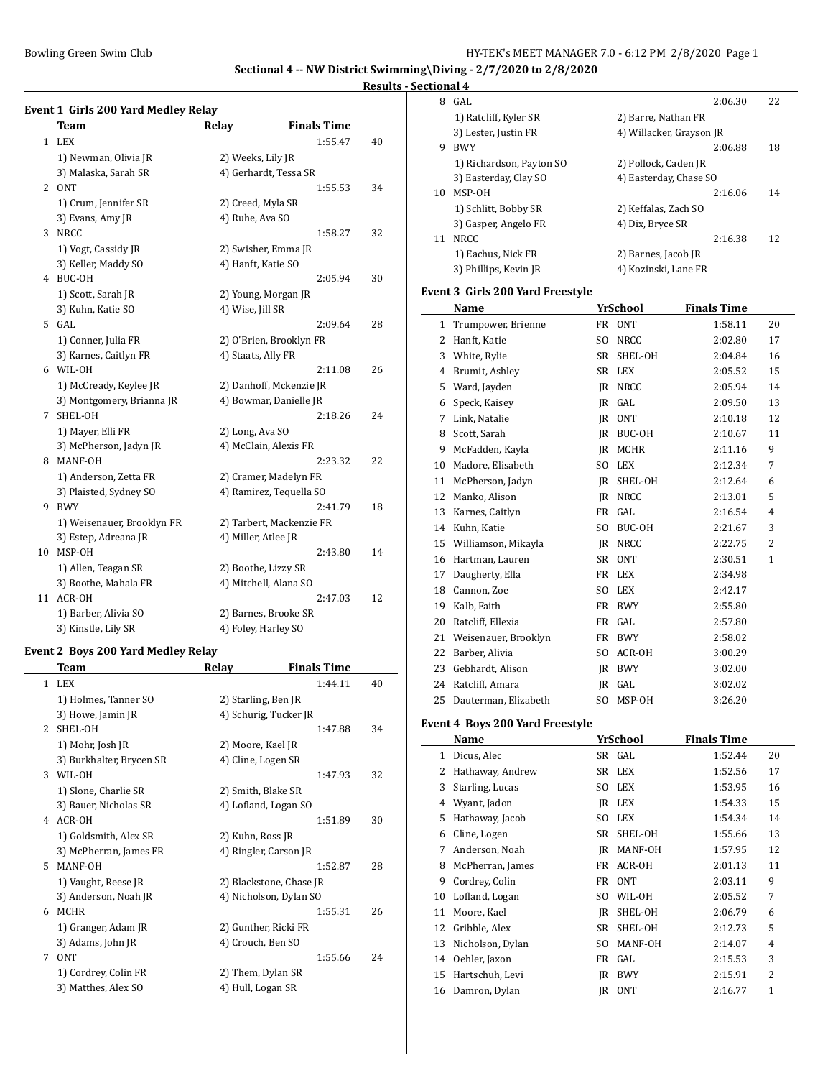$\overline{a}$ 

 $\overline{\phantom{a}}$ 

## **Results - Section**

|              | <b>Team</b>                | Relay              | <b>Finals Time</b>       |    |
|--------------|----------------------------|--------------------|--------------------------|----|
| $\mathbf{1}$ | <b>LEX</b>                 |                    | 1:55.47                  | 40 |
|              | 1) Newman, Olivia JR       | 2) Weeks, Lily JR  |                          |    |
|              | 3) Malaska, Sarah SR       |                    | 4) Gerhardt, Tessa SR    |    |
| $\mathbf{2}$ | <b>ONT</b>                 |                    | 1:55.53                  | 34 |
|              | 1) Crum, Jennifer SR       |                    | 2) Creed, Myla SR        |    |
|              | 3) Evans, Amy JR           | 4) Ruhe, Ava SO    |                          |    |
| 3            | <b>NRCC</b>                |                    | 1:58.27                  | 32 |
|              | 1) Vogt, Cassidy JR        |                    | 2) Swisher, Emma JR      |    |
|              | 3) Keller, Maddy SO        |                    | 4) Hanft, Katie SO       |    |
| 4            | BUC-OH                     |                    | 2:05.94                  | 30 |
|              | 1) Scott, Sarah JR         |                    | 2) Young, Morgan JR      |    |
|              | 3) Kuhn, Katie SO          | 4) Wise, Jill SR   |                          |    |
| 5.           | GAL                        |                    | 2:09.64                  | 28 |
|              | 1) Conner, Julia FR        |                    | 2) O'Brien, Brooklyn FR  |    |
|              | 3) Karnes, Caitlyn FR      | 4) Staats, Ally FR |                          |    |
|              | 6 WIL-OH                   |                    | 2:11.08                  | 26 |
|              | 1) McCready, Keylee JR     |                    | 2) Danhoff, Mckenzie JR  |    |
|              | 3) Montgomery, Brianna JR  |                    | 4) Bowmar, Danielle JR   |    |
| 7            | SHEL-OH                    |                    | 2:18.26                  | 24 |
|              | 1) Mayer, Elli FR          | 2) Long, Ava SO    |                          |    |
|              | 3) McPherson, Jadyn JR     |                    | 4) McClain, Alexis FR    |    |
| 8            | MANF-OH                    |                    | 2:23.32                  | 22 |
|              | 1) Anderson, Zetta FR      |                    | 2) Cramer, Madelyn FR    |    |
|              | 3) Plaisted, Sydney SO     |                    | 4) Ramirez, Tequella SO  |    |
| 9            | <b>BWY</b>                 |                    | 2:41.79                  | 18 |
|              | 1) Weisenauer, Brooklyn FR |                    | 2) Tarbert, Mackenzie FR |    |
|              | 3) Estep, Adreana JR       |                    | 4) Miller, Atlee JR      |    |
| 10           | MSP-OH                     |                    | 2:43.80                  | 14 |
|              | 1) Allen, Teagan SR        |                    | 2) Boothe, Lizzy SR      |    |
|              | 3) Boothe, Mahala FR       |                    | 4) Mitchell, Alana SO    |    |
| 11           | ACR-OH                     |                    | 2:47.03                  | 12 |
|              | 1) Barber, Alivia SO       |                    | 2) Barnes, Brooke SR     |    |
|              | 3) Kinstle, Lily SR        |                    | 4) Foley, Harley SO      |    |

### **Event 2 Boys 200 Yard Medley Relay**

|               | <b>Team</b>              | Relay                   | <b>Finals Time</b> |    |
|---------------|--------------------------|-------------------------|--------------------|----|
| $\mathbf{1}$  | <b>LEX</b>               |                         | 1:44.11            | 40 |
|               | 1) Holmes, Tanner SO     | 2) Starling, Ben JR     |                    |    |
|               | 3) Howe, Jamin JR        | 4) Schurig, Tucker JR   |                    |    |
| $\mathcal{L}$ | SHEL-OH                  |                         | 1:47.88            | 34 |
|               | 1) Mohr, Josh JR         | 2) Moore, Kael JR       |                    |    |
|               | 3) Burkhalter, Brycen SR | 4) Cline, Logen SR      |                    |    |
| 3             | WIL-OH                   |                         | 1:47.93            | 32 |
|               | 1) Slone, Charlie SR     | 2) Smith, Blake SR      |                    |    |
|               | 3) Bauer, Nicholas SR    | 4) Lofland, Logan SO    |                    |    |
| 4             | ACR-OH                   |                         | 1:51.89            | 30 |
|               | 1) Goldsmith, Alex SR    | 2) Kuhn, Ross JR        |                    |    |
|               | 3) McPherran, James FR   | 4) Ringler, Carson JR   |                    |    |
| 5.            | MANF-OH                  |                         | 1:52.87            | 28 |
|               | 1) Vaught, Reese JR      | 2) Blackstone, Chase JR |                    |    |
|               | 3) Anderson, Noah JR     | 4) Nicholson, Dylan SO  |                    |    |
| 6             | <b>MCHR</b>              |                         | 1:55.31            | 26 |
|               | 1) Granger, Adam JR      | 2) Gunther, Ricki FR    |                    |    |
|               | 3) Adams, John JR        | 4) Crouch, Ben SO       |                    |    |
| 7             | <b>ONT</b>               |                         | 1:55.66            | 24 |
|               | 1) Cordrey, Colin FR     | 2) Them, Dylan SR       |                    |    |
|               | 3) Matthes, Alex SO      | 4) Hull, Logan SR       |                    |    |

|    | tional 4                 |                          |         |    |
|----|--------------------------|--------------------------|---------|----|
| 8  | GAL                      |                          | 2:06.30 | 22 |
|    | 1) Ratcliff, Kyler SR    | 2) Barre, Nathan FR      |         |    |
|    | 3) Lester, Justin FR     | 4) Willacker, Grayson JR |         |    |
| 9  | <b>BWY</b>               |                          | 2:06.88 | 18 |
|    | 1) Richardson, Payton SO | 2) Pollock, Caden JR     |         |    |
|    | 3) Easterday, Clay SO    | 4) Easterday, Chase SO   |         |    |
| 10 | MSP-OH                   |                          | 2:16.06 | 14 |
|    | 1) Schlitt, Bobby SR     | 2) Keffalas, Zach SO     |         |    |
|    | 3) Gasper, Angelo FR     | 4) Dix, Bryce SR         |         |    |
| 11 | NRCC.                    |                          | 2:16.38 | 12 |
|    | 1) Eachus, Nick FR       | 2) Barnes, Jacob JR      |         |    |
|    | 3) Phillips, Kevin JR    | 4) Kozinski, Lane FR     |         |    |
|    |                          |                          |         |    |

### **Event 3 Girls 200 Yard Freestyle**

|    | Name                 |                | YrSchool         | <b>Finals Time</b> |                |
|----|----------------------|----------------|------------------|--------------------|----------------|
| 1  | Trumpower, Brienne   | <b>FR</b>      | <b>ONT</b>       | 1:58.11            | 20             |
| 2  | Hanft, Katie         | SO.            | <b>NRCC</b>      | 2:02.80            | 17             |
| 3  | White, Rylie         | <b>SR</b>      | SHEL-OH          | 2:04.84            | 16             |
| 4  | Brumit, Ashley       | <b>SR</b>      | <b>LEX</b>       | 2:05.52            | 15             |
| 5  | Ward, Jayden         | IR             | <b>NRCC</b>      | 2:05.94            | 14             |
| 6  | Speck, Kaisey        | IR             | GAL              | 2:09.50            | 13             |
| 7  | Link, Natalie        | IR             | 0 <sub>N</sub> T | 2:10.18            | 12             |
| 8  | Scott, Sarah         | <b>IR</b>      | BUC-OH           | 2:10.67            | 11             |
| 9  | McFadden, Kayla      | IR             | MCHR             | 2:11.16            | 9              |
| 10 | Madore, Elisabeth    | S <sub>O</sub> | <b>LEX</b>       | 2:12.34            | 7              |
| 11 | McPherson, Jadyn     | <b>IR</b>      | SHEL-OH          | 2:12.64            | 6              |
| 12 | Manko, Alison        | IR             | <b>NRCC</b>      | 2:13.01            | 5              |
| 13 | Karnes, Caitlyn      | <b>FR</b>      | GAL              | 2:16.54            | $\overline{4}$ |
| 14 | Kuhn, Katie          | S <sub>O</sub> | BUC-OH           | 2:21.67            | 3              |
| 15 | Williamson, Mikayla  | <b>IR</b>      | <b>NRCC</b>      | 2:22.75            | $\overline{2}$ |
| 16 | Hartman, Lauren      | SR             | 0 <sub>N</sub> T | 2:30.51            | $\mathbf{1}$   |
| 17 | Daugherty, Ella      | <b>FR</b>      | <b>LEX</b>       | 2:34.98            |                |
| 18 | Cannon, Zoe          | SO.            | LEX              | 2:42.17            |                |
| 19 | Kalb, Faith          | <b>FR</b>      | <b>BWY</b>       | 2:55.80            |                |
| 20 | Ratcliff, Ellexia    | FR             | GAL              | 2:57.80            |                |
| 21 | Weisenauer, Brooklyn | FR             | <b>BWY</b>       | 2:58.02            |                |
| 22 | Barber, Alivia       | S <sub>O</sub> | ACR-OH           | 3:00.29            |                |
| 23 | Gebhardt, Alison     | IR             | <b>BWY</b>       | 3:02.00            |                |
| 24 | Ratcliff, Amara      | IR             | GAL              | 3:02.02            |                |
| 25 | Dauterman, Elizabeth | S <sub>O</sub> | MSP-OH           | 3:26.20            |                |

### **Event 4 Boys 200 Yard Freestyle**

|    | Name             |     | <b>YrSchool</b> | <b>Finals Time</b> |                |  |
|----|------------------|-----|-----------------|--------------------|----------------|--|
| 1  | Dicus, Alec      |     | SR GAL          | 1:52.44            | 20             |  |
| 2  | Hathaway, Andrew |     | SR LEX          | 1:52.56            | 17             |  |
| 3  | Starling, Lucas  | SO. | <b>LEX</b>      | 1:53.95            | 16             |  |
| 4  | Wyant, Jadon     |     | IR LEX          | 1:54.33            | 15             |  |
| 5  | Hathaway, Jacob  | SO. | <b>LEX</b>      | 1:54.34            | 14             |  |
| 6  | Cline, Logen     | SR  | SHEL-OH         | 1:55.66            | 13             |  |
| 7  | Anderson, Noah   | IR  | MANF-OH         | 1:57.95            | 12             |  |
| 8  | McPherran, James | FR  | ACR-OH          | 2:01.13            | 11             |  |
| 9  | Cordrey, Colin   | FR  | 0 <sub>NT</sub> | 2:03.11            | 9              |  |
| 10 | Lofland, Logan   | SO. | WIL-OH          | 2:05.52            | 7              |  |
| 11 | Moore, Kael      | IR  | SHEL-OH         | 2:06.79            | 6              |  |
| 12 | Gribble, Alex    | SR  | SHEL-OH         | 2:12.73            | 5              |  |
| 13 | Nicholson, Dylan | SO. | MANF-OH         | 2:14.07            | 4              |  |
| 14 | Oehler, Jaxon    | FR  | GAL             | 2:15.53            | 3              |  |
| 15 | Hartschuh, Levi  | IR  | <b>BWY</b>      | 2:15.91            | $\overline{2}$ |  |
| 16 | Damron, Dylan    | IR  | <b>ONT</b>      | 2:16.77            | 1              |  |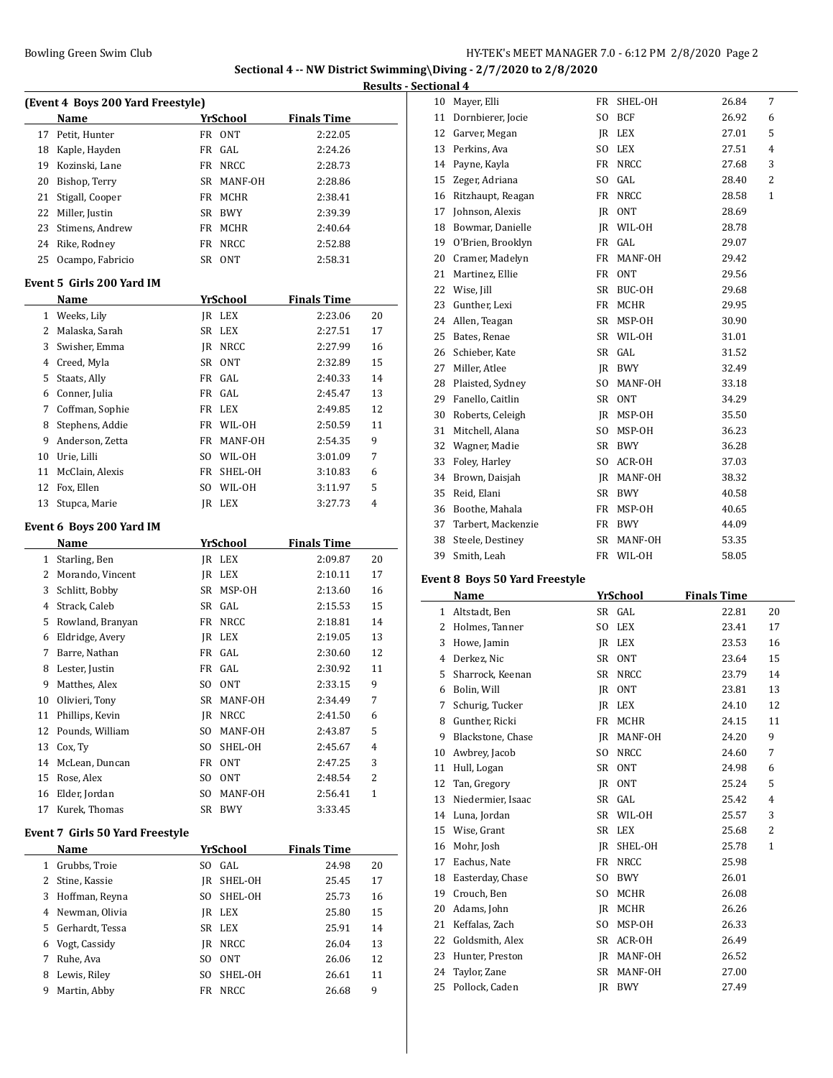## **ing\Diving - 2/7/2020 to 2/8/2020 Sectional 4**

|              |                                   |     |                 |                    | Results - |
|--------------|-----------------------------------|-----|-----------------|--------------------|-----------|
|              | (Event 4 Boys 200 Yard Freestyle) |     |                 |                    |           |
|              | Name                              |     | YrSchool        | <b>Finals Time</b> |           |
| 17           | Petit, Hunter                     |     | FR ONT          | 2:22.05            |           |
|              | 18 Kaple, Hayden                  | FR  | GAL             | 2:24.26            |           |
|              | 19 Kozinski, Lane                 | FR  | <b>NRCC</b>     | 2:28.73            |           |
|              | 20 Bishop, Terry                  | SR  | MANF-OH         | 2:28.86            |           |
|              | 21 Stigall, Cooper                | FR  | MCHR            | 2:38.41            |           |
|              | 22 Miller, Justin                 | SR  | BWY             | 2:39.39            |           |
|              | 23 Stimens, Andrew                | FR  | MCHR            | 2:40.64            |           |
|              | 24 Rike, Rodney                   | FR  | NRCC            | 2:52.88            |           |
| 25           | Ocampo, Fabricio                  |     | SR ONT          | 2:58.31            |           |
|              | Event 5 Girls 200 Yard IM         |     |                 |                    |           |
|              | Name                              |     | <b>YrSchool</b> | <b>Finals Time</b> |           |
|              | 1 Weeks, Lily                     |     | JR LEX          | 2:23.06            | 20        |
|              | 2 Malaska, Sarah                  | SR  | LEX             | 2:27.51            | 17        |
| 3            | Swisher, Emma                     | IR  | NRCC            | 2:27.99            | 16        |
|              | 4 Creed, Myla                     |     | SR ONT          | 2:32.89            | 15        |
| 5            | Staats, Ally                      | FR  | GAL.            | 2:40.33            | 14        |
|              | 6 Conner, Julia                   | FR  | GAL             | 2:45.47            | 13        |
| 7            | Coffman, Sophie                   | FR  | LEX             | 2:49.85            | 12        |
| 8            | Stephens, Addie                   | FR  | WIL-OH          | 2:50.59            | 11        |
| 9            | Anderson, Zetta                   | FR  | MANF-OH         | 2:54.35            | 9         |
|              | 10 Urie, Lilli                    |     | SO WIL-OH       | 3:01.09            | 7         |
|              | 11 McClain, Alexis                | FR  | SHEL-OH         | 3:10.83            | 6         |
|              | 12 Fox, Ellen                     | SO. | WIL-OH          | 3:11.97            | 5         |
| 13           | Stupca, Marie                     |     | JR LEX          | 3:27.73            | 4         |
|              | Event 6 Boys 200 Yard IM          |     |                 |                    |           |
|              | Name                              |     | <u>YrSchool</u> | <b>Finals Time</b> |           |
|              | 1 Starling, Ben                   |     | JR LEX          | 2:09.87            | 20        |
|              | 2 Morando, Vincent                | JR  | LEX             | 2:10.11            | 17        |
| 3            | Schlitt, Bobby                    | SR  | MSP-OH          | 2:13.60            | 16        |
| 4            | Strack, Caleb                     |     | SR GAL          | 2:15.53            | 15        |
|              | 5 Rowland, Branyan                | FR  | NRCC            | 2:18.81            | 14        |
|              | 6 Eldridge, Avery                 | JR  | LEX             | 2:19.05            | 13        |
| 7            | Barre, Nathan                     | FR  | GAL             | 2:30.60            | 12        |
| 8            | Lester, Justin                    |     | FR GAL          | 2:30.92            | 11        |
| 9            | Matthes, Alex                     | SO. | 0NT             | 2:33.15            | 9         |
| 10           | Olivieri, Tony                    | SR  | MANF-OH         | 2:34.49            | 7         |
| 11           | Phillips, Kevin                   | JR  | NRCC            | 2:41.50            | 6         |
| 12           | Pounds, William                   | SO  | MANF-OH         | 2:43.87            | 5         |
|              | 13 Cox, Ty                        | SO. | SHEL-OH         | 2:45.67            | 4         |
|              | 14 McLean, Duncan                 | FR  | <b>ONT</b>      | 2:47.25            | 3         |
|              | 15 Rose, Alex                     | SO  | <b>ONT</b>      | 2:48.54            | 2         |
|              | 16 Elder, Jordan                  | SO. | MANF-OH         | 2:56.41            | 1         |
| 17           | Kurek, Thomas                     | SR  | BWY             | 3:33.45            |           |
|              | Event 7 Girls 50 Yard Freestyle   |     |                 |                    |           |
|              | <b>Name</b>                       |     | <u>YrSchool</u> | <b>Finals Time</b> |           |
| $\mathbf{1}$ | Grubbs, Troie                     |     | SO GAL          | 24.98              | 20        |
|              | 2 Stine, Kassie                   | JR  | SHEL-OH         | 25.45              | 17        |
|              | 3 Hoffman, Reyna                  | SO  | SHEL-OH         | 25.73              | 16        |
|              | 4 Newman, Olivia                  |     |                 |                    |           |
|              |                                   | JR  | LEX             | 25.80              | 15        |
|              | 5 Gerhardt, Tessa                 | SR  | LEX             | 25.91              | 14        |
| 6            | Vogt, Cassidy                     | JR  | <b>NRCC</b>     | 26.04              | 13        |
| 7            | Ruhe, Ava                         | SO  | <b>ONT</b>      | 26.06              | 12        |

 Lewis, Riley SO SHEL-OH 26.61 11 Martin, Abby FR NRCC 26.68 9

| tuunai 4 |                               |                |             |             |                |  |
|----------|-------------------------------|----------------|-------------|-------------|----------------|--|
| 10       | Mayer, Elli                   | FR             | SHEL-OH     | 26.84       | 7              |  |
| 11       | Dornbierer, Jocie             | SO.            | <b>BCF</b>  | 26.92       | 6              |  |
|          | 12 Garver, Megan              | IR             | LEX         | 27.01       | 5              |  |
| 13       | Perkins, Ava                  | S <sub>O</sub> | <b>LEX</b>  | 27.51       | $\overline{4}$ |  |
| 14       | Payne, Kayla                  | FR             | NRCC        | 27.68       | 3              |  |
| 15       | Zeger, Adriana                | S <sub>0</sub> | GAL         | 28.40       | 2              |  |
| 16       | Ritzhaupt, Reagan             | <b>FR</b>      | <b>NRCC</b> | 28.58       | $\mathbf{1}$   |  |
| 17       | Johnson, Alexis               | <b>IR</b>      | <b>ONT</b>  | 28.69       |                |  |
| 18       | Bowmar, Danielle              | <b>IR</b>      | WIL-OH      | 28.78       |                |  |
| 19       | O'Brien, Brooklyn             | <b>FR</b>      | GAL         | 29.07       |                |  |
| 20       | Cramer, Madelyn               | <b>FR</b>      | MANF-OH     | 29.42       |                |  |
| 21       | Martinez, Ellie               | FR             | <b>ONT</b>  | 29.56       |                |  |
|          | 22 Wise, Jill                 | SR             | BUC-OH      | 29.68       |                |  |
| 23       | Gunther, Lexi                 | FR             | MCHR        | 29.95       |                |  |
| 24       | Allen, Teagan                 | <b>SR</b>      | MSP-OH      | 30.90       |                |  |
| 25       | Bates, Renae                  | <b>SR</b>      | WIL-OH      | 31.01       |                |  |
| 26       | Schieber, Kate                | <b>SR</b>      | GAL         | 31.52       |                |  |
| 27       | Miller, Atlee                 | IR             | BWY         | 32.49       |                |  |
| 28       | Plaisted, Sydney              | SO.            | MANF-OH     | 33.18       |                |  |
|          | 29 Fanello, Caitlin           | SR             | <b>ONT</b>  | 34.29       |                |  |
| 30       | Roberts, Celeigh              | <b>IR</b>      | MSP-OH      | 35.50       |                |  |
| 31       | Mitchell, Alana               | SO.            | MSP-OH      | 36.23       |                |  |
| 32       | Wagner, Madie                 | SR             | <b>BWY</b>  | 36.28       |                |  |
| 33       | Foley, Harley                 | SO.            | ACR-OH      | 37.03       |                |  |
| 34       | Brown, Daisjah                | <b>IR</b>      | MANF-OH     | 38.32       |                |  |
| 35       | Reid, Elani                   | SR             | <b>BWY</b>  | 40.58       |                |  |
| 36       | Boothe, Mahala                | FR             | MSP-OH      | 40.65       |                |  |
| 37       | Tarbert, Mackenzie            | <b>FR</b>      | <b>BWY</b>  | 44.09       |                |  |
| 38       | Steele, Destiney              | <b>SR</b>      | MANF-OH     | 53.35       |                |  |
| 39       | Smith, Leah                   |                | FR WIL-OH   | 58.05       |                |  |
|          | vent 8 Boys 50 Yard Freestyle |                |             |             |                |  |
|          | Name                          |                | VrCchaal    | Finale Timo |                |  |

#### **Event 8 Boys 50 Yard Freestyle**

|    | Name              |                | YrSchool    | <b>Finals Time</b> |                |
|----|-------------------|----------------|-------------|--------------------|----------------|
| 1  | Altstadt, Ben     |                | SR GAL      | 22.81              | 20             |
| 2  | Holmes, Tanner    | S <sub>O</sub> | <b>LEX</b>  | 23.41              | 17             |
| 3  | Howe, Jamin       | IR             | LEX         | 23.53              | 16             |
| 4  | Derkez, Nic       | SR             | <b>ONT</b>  | 23.64              | 15             |
| 5  | Sharrock, Keenan  | SR             | <b>NRCC</b> | 23.79              | 14             |
| 6  | Bolin, Will       | IR             | <b>ONT</b>  | 23.81              | 13             |
| 7  | Schurig, Tucker   | IR.            | <b>LEX</b>  | 24.10              | 12             |
| 8  | Gunther, Ricki    | FR             | <b>MCHR</b> | 24.15              | 11             |
| 9  | Blackstone, Chase | IR             | MANF-OH     | 24.20              | 9              |
| 10 | Awbrey, Jacob     | SO.            | <b>NRCC</b> | 24.60              | 7              |
| 11 | Hull, Logan       | SR             | <b>ONT</b>  | 24.98              | 6              |
| 12 | Tan, Gregory      | IR             | <b>ONT</b>  | 25.24              | 5              |
| 13 | Niedermier, Isaac | SR             | GAL         | 25.42              | $\overline{4}$ |
| 14 | Luna, Jordan      | SR             | WIL-OH      | 25.57              | 3              |
| 15 | Wise, Grant       | SR             | <b>LEX</b>  | 25.68              | $\overline{2}$ |
| 16 | Mohr, Josh        | IR             | SHEL-OH     | 25.78              | $\mathbf{1}$   |
| 17 | Eachus, Nate      | FR             | <b>NRCC</b> | 25.98              |                |
| 18 | Easterday, Chase  | SO.            | <b>BWY</b>  | 26.01              |                |
| 19 | Crouch, Ben       | SO.            | MCHR        | 26.08              |                |
| 20 | Adams, John       | IR             | MCHR        | 26.26              |                |
| 21 | Keffalas, Zach    | SO.            | MSP-OH      | 26.33              |                |
| 22 | Goldsmith, Alex   | SR             | ACR-OH      | 26.49              |                |
| 23 | Hunter, Preston   | IR             | MANF-OH     | 26.52              |                |
| 24 | Taylor, Zane      | SR             | MANF-OH     | 27.00              |                |
| 25 | Pollock, Caden    | IR             | <b>BWY</b>  | 27.49              |                |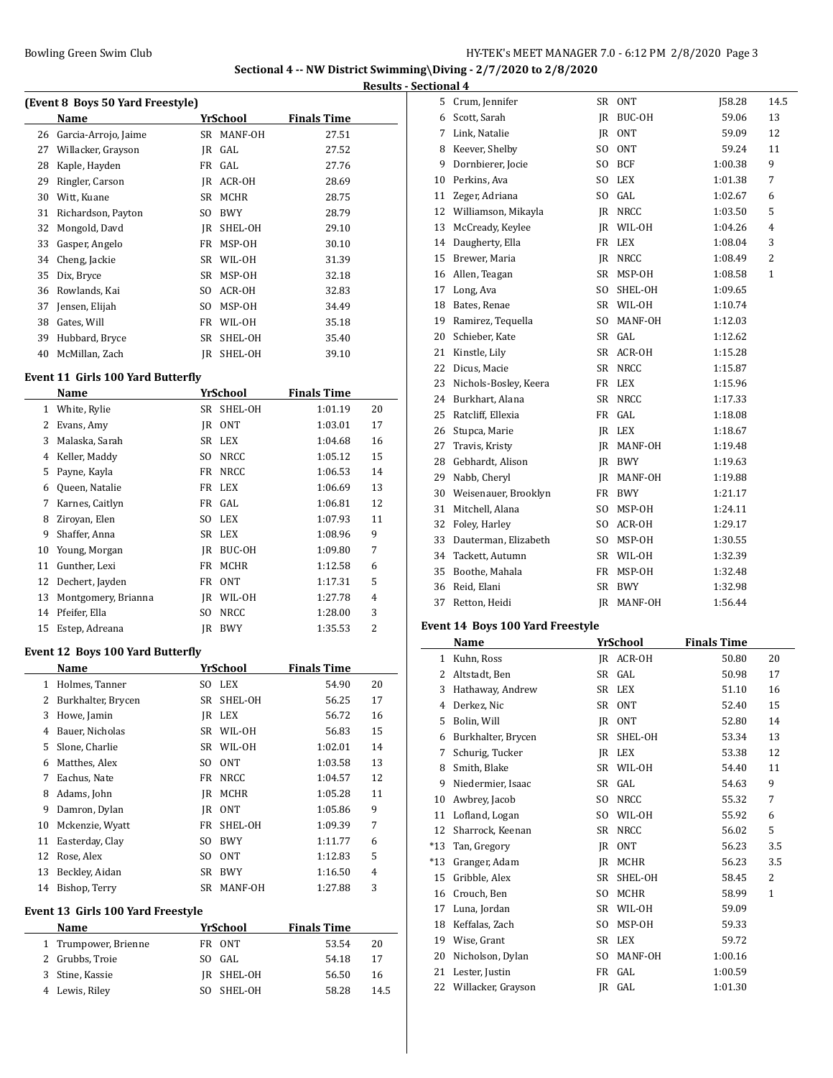**Sectional 4 -- NW District Swimming\Diving - 2/7/2020 to 2/8/2020 Results - Sectional 4**

| (Event 8 Boys 50 Yard Freestyle) |                      |    |             |                    |  |  |  |
|----------------------------------|----------------------|----|-------------|--------------------|--|--|--|
|                                  | Name                 |    | YrSchool    | <b>Finals Time</b> |  |  |  |
| 26                               | Garcia-Arrojo, Jaime | SR | MANF-OH     | 27.51              |  |  |  |
| 27                               | Willacker, Grayson   |    | IR GAL      | 27.52              |  |  |  |
| 28                               | Kaple, Hayden        |    | FR GAL      | 27.76              |  |  |  |
| 29                               | Ringler, Carson      | IR | ACR-OH      | 28.69              |  |  |  |
| 30                               | Witt, Kuane          | SR | <b>MCHR</b> | 28.75              |  |  |  |
| 31                               | Richardson, Payton   | SO | <b>BWY</b>  | 28.79              |  |  |  |
| 32                               | Mongold, Davd        | IR | SHEL-OH     | 29.10              |  |  |  |
| 33                               | Gasper, Angelo       | FR | MSP-OH      | 30.10              |  |  |  |
| 34                               | Cheng, Jackie        | SR | WIL-OH      | 31.39              |  |  |  |
| 35                               | Dix, Bryce           | SR | MSP-OH      | 32.18              |  |  |  |
| 36                               | Rowlands, Kai        | SO | ACR-OH      | 32.83              |  |  |  |
| 37                               | Jensen, Elijah       | SO | MSP-OH      | 34.49              |  |  |  |
| 38                               | Gates, Will          | FR | WIL-OH      | 35.18              |  |  |  |
| 39                               | Hubbard, Bryce       | SR | SHEL-OH     | 35.40              |  |  |  |
| 40                               | McMillan, Zach       | IR | SHEL-OH     | 39.10              |  |  |  |

#### **Event 11 Girls 100 Yard Butterfly**

|              | Name                |           | <b>YrSchool</b>  | <b>Finals Time</b> |                |
|--------------|---------------------|-----------|------------------|--------------------|----------------|
| $\mathbf{1}$ | White, Rylie        | SR        | SHEL-OH          | 1:01.19            | 20             |
| 2            | Evans, Amy          | IR        | <b>ONT</b>       | 1:03.01            | 17             |
| 3            | Malaska, Sarah      | <b>SR</b> | <b>LEX</b>       | 1:04.68            | 16             |
| 4            | Keller, Maddy       | SO        | <b>NRCC</b>      | 1:05.12            | 15             |
| 5            | Payne, Kayla        | FR        | NRCC             | 1:06.53            | 14             |
| 6            | Queen, Natalie      | FR        | <b>LEX</b>       | 1:06.69            | 13             |
| 7            | Karnes, Caitlyn     | FR        | GAL              | 1:06.81            | 12             |
| 8            | Ziroyan, Elen       | SO.       | LEX              | 1:07.93            | 11             |
| 9            | Shaffer, Anna       | SR        | LEX              | 1:08.96            | 9              |
| 10           | Young, Morgan       | IR        | BUC-OH           | 1:09.80            | 7              |
| 11           | Gunther, Lexi       | FR        | <b>MCHR</b>      | 1:12.58            | 6              |
| 12           | Dechert, Jayden     | FR        | 0 <sub>N</sub> T | 1:17.31            | 5              |
| 13           | Montgomery, Brianna | IR        | WIL-OH           | 1:27.78            | 4              |
| 14           | Pfeifer, Ella       | SO        | NRCC             | 1:28.00            | 3              |
| 15           | Estep, Adreana      | IR        | <b>BWY</b>       | 1:35.53            | $\overline{2}$ |

### **Event 12 Boys 100 Yard Butterfly**

|    | Name               |     | YrSchool         | <b>Finals Time</b> |    |
|----|--------------------|-----|------------------|--------------------|----|
| 1  | Holmes, Tanner     | SO. | LEX              | 54.90              | 20 |
| 2  | Burkhalter, Brycen | SR  | SHEL-OH          | 56.25              | 17 |
| 3  | Howe, Jamin        | IR  | LEX              | 56.72              | 16 |
| 4  | Bauer, Nicholas    | SR  | WIL-OH           | 56.83              | 15 |
| 5  | Slone, Charlie     | SR  | WIL-OH           | 1:02.01            | 14 |
| 6  | Matthes, Alex      | SO. | 0 <sub>N</sub> T | 1:03.58            | 13 |
| 7  | Eachus, Nate       | FR  | NRCC             | 1:04.57            | 12 |
| 8  | Adams, John        | IR  | MCHR             | 1:05.28            | 11 |
| 9  | Damron, Dylan      | IR  | 0NT              | 1:05.86            | 9  |
| 10 | Mckenzie, Wyatt    | FR  | SHEL-OH          | 1:09.39            | 7  |
| 11 | Easterday, Clay    | SO. | <b>BWY</b>       | 1:11.77            | 6  |
| 12 | Rose, Alex         | SO  | 0NT              | 1:12.83            | 5  |
| 13 | Beckley, Aidan     | SR  | <b>BWY</b>       | 1:16.50            | 4  |
| 14 | Bishop, Terry      | SR  | MANF-OH          | 1:27.88            | 3  |

### **Event 13 Girls 100 Yard Freestyle**

| <b>Name</b> |                      | YrSchool |            | <b>Finals Time</b> |      |
|-------------|----------------------|----------|------------|--------------------|------|
|             | 1 Trumpower, Brienne |          | FR ONT     | 53.54              | 20   |
|             | 2 Grubbs, Troie      |          | SO GAL     | 54.18              | 17   |
|             | 3 Stine, Kassie      |          | IR SHEL-OH | 56.50              | 16   |
|             | 4 Lewis, Riley       |          | SO SHEL-OH | 58.28              | 14.5 |

| 5  | Crum, Jennifer        | <b>SR</b>      | <b>ONT</b>        | <b>J58.28</b> | 14.5           |
|----|-----------------------|----------------|-------------------|---------------|----------------|
| 6  | Scott, Sarah          | <b>IR</b>      | BUC-OH            | 59.06         | 13             |
| 7  | Link, Natalie         | IR             | <b>ONT</b>        | 59.09         | 12             |
| 8  | Keever, Shelby        | S <sub>O</sub> | <b>ONT</b>        | 59.24         | 11             |
| 9  | Dornbierer, Jocie     | SO.            | BCF               | 1:00.38       | 9              |
| 10 | Perkins, Ava          | S <sub>O</sub> | <b>LEX</b>        | 1:01.38       | 7              |
| 11 | Zeger, Adriana        | S <sub>O</sub> | GAL               | 1:02.67       | 6              |
| 12 | Williamson, Mikayla   |                | <b>IR NRCC</b>    | 1:03.50       | 5              |
| 13 | McCready, Keylee      | IR             | WIL-OH            | 1:04.26       | $\overline{4}$ |
| 14 | Daugherty, Ella       | <b>FR</b>      | <b>LEX</b>        | 1:08.04       | 3              |
| 15 | Brewer, Maria         | IR             | <b>NRCC</b>       | 1:08.49       | 2              |
| 16 | Allen, Teagan         | SR             | MSP-OH            | 1:08.58       | 1              |
| 17 | Long, Ava             | S <sub>O</sub> | SHEL-OH           | 1:09.65       |                |
| 18 | Bates, Renae          | SR             | WIL-OH            | 1:10.74       |                |
| 19 | Ramirez, Tequella     | SO.            | MANF-OH           | 1:12.03       |                |
| 20 | Schieber, Kate        | <b>SR</b>      | GAL               | 1:12.62       |                |
| 21 | Kinstle, Lily         | SR             | ACR-OH            | 1:15.28       |                |
| 22 | Dicus, Macie          | <b>SR</b>      | <b>NRCC</b>       | 1:15.87       |                |
| 23 | Nichols-Bosley, Keera | <b>FR</b>      | <b>LEX</b>        | 1:15.96       |                |
| 24 | Burkhart, Alana       | SR             | <b>NRCC</b>       | 1:17.33       |                |
| 25 | Ratcliff, Ellexia     | <b>FR</b>      | GAL               | 1:18.08       |                |
| 26 | Stupca, Marie         | IR.            | <b>LEX</b>        | 1:18.67       |                |
| 27 | Travis, Kristy        |                | <b>IR MANF-OH</b> | 1:19.48       |                |
| 28 | Gebhardt, Alison      | IR             | BWY               | 1:19.63       |                |
| 29 | Nabb, Cheryl          | IR             | MANF-OH           | 1:19.88       |                |
| 30 | Weisenauer, Brooklyn  | <b>FR</b>      | <b>BWY</b>        | 1:21.17       |                |
| 31 | Mitchell, Alana       | S <sub>O</sub> | MSP-OH            | 1:24.11       |                |
| 32 | Foley, Harley         | S <sub>O</sub> | ACR-OH            | 1:29.17       |                |
| 33 | Dauterman, Elizabeth  | SO.            | MSP-OH            | 1:30.55       |                |
| 34 | Tackett, Autumn       | <b>SR</b>      | WIL-OH            | 1:32.39       |                |
| 35 | Boothe, Mahala        | <b>FR</b>      | MSP-OH            | 1:32.48       |                |
| 36 | Reid, Elani           | SR             | <b>BWY</b>        | 1:32.98       |                |
| 37 | Retton, Heidi         | <b>IR</b>      | MANF-OH           | 1:56.44       |                |
|    |                       |                |                   |               |                |

## **Event 14 Boys 100 Yard Freestyle**

|       | Name               |                | YrSchool    | <b>Finals Time</b> |              |
|-------|--------------------|----------------|-------------|--------------------|--------------|
| 1     | Kuhn, Ross         | IR             | ACR-OH      | 50.80              | 20           |
| 2     | Altstadt, Ben      | SR             | GAL         | 50.98              | 17           |
| 3     | Hathaway, Andrew   |                | SR LEX      | 51.10              | 16           |
| 4     | Derkez, Nic        | SR             | <b>ONT</b>  | 52.40              | 15           |
| 5     | Bolin, Will        | IR             | <b>ONT</b>  | 52.80              | 14           |
| 6     | Burkhalter, Brycen | SR             | SHEL-OH     | 53.34              | 13           |
| 7     | Schurig, Tucker    | IR             | <b>LEX</b>  | 53.38              | 12           |
| 8     | Smith, Blake       | SR             | WIL-OH      | 54.40              | 11           |
| 9     | Niedermier, Isaac  | SR             | GAL         | 54.63              | 9            |
| 10    | Awbrey, Jacob      | SO.            | <b>NRCC</b> | 55.32              | 7            |
| 11    | Lofland, Logan     | S <sub>O</sub> | WIL-OH      | 55.92              | 6            |
| 12    | Sharrock, Keenan   | SR             | <b>NRCC</b> | 56.02              | 5            |
| $*13$ | Tan, Gregory       | IR             | <b>ONT</b>  | 56.23              | 3.5          |
| $*13$ | Granger, Adam      | IR             | MCHR        | 56.23              | 3.5          |
| 15    | Gribble, Alex      | SR             | SHEL-OH     | 58.45              | 2            |
| 16    | Crouch, Ben        | S <sub>O</sub> | <b>MCHR</b> | 58.99              | $\mathbf{1}$ |
| 17    | Luna, Jordan       | SR             | WIL-OH      | 59.09              |              |
| 18    | Keffalas, Zach     | S <sub>O</sub> | MSP-OH      | 59.33              |              |
| 19    | Wise, Grant        | SR             | <b>LEX</b>  | 59.72              |              |
| 20    | Nicholson, Dylan   | S <sub>O</sub> | MANF-OH     | 1:00.16            |              |
| 21    | Lester, Justin     | FR             | GAL         | 1:00.59            |              |
| 22    | Willacker, Grayson | IR             | GAL         | 1:01.30            |              |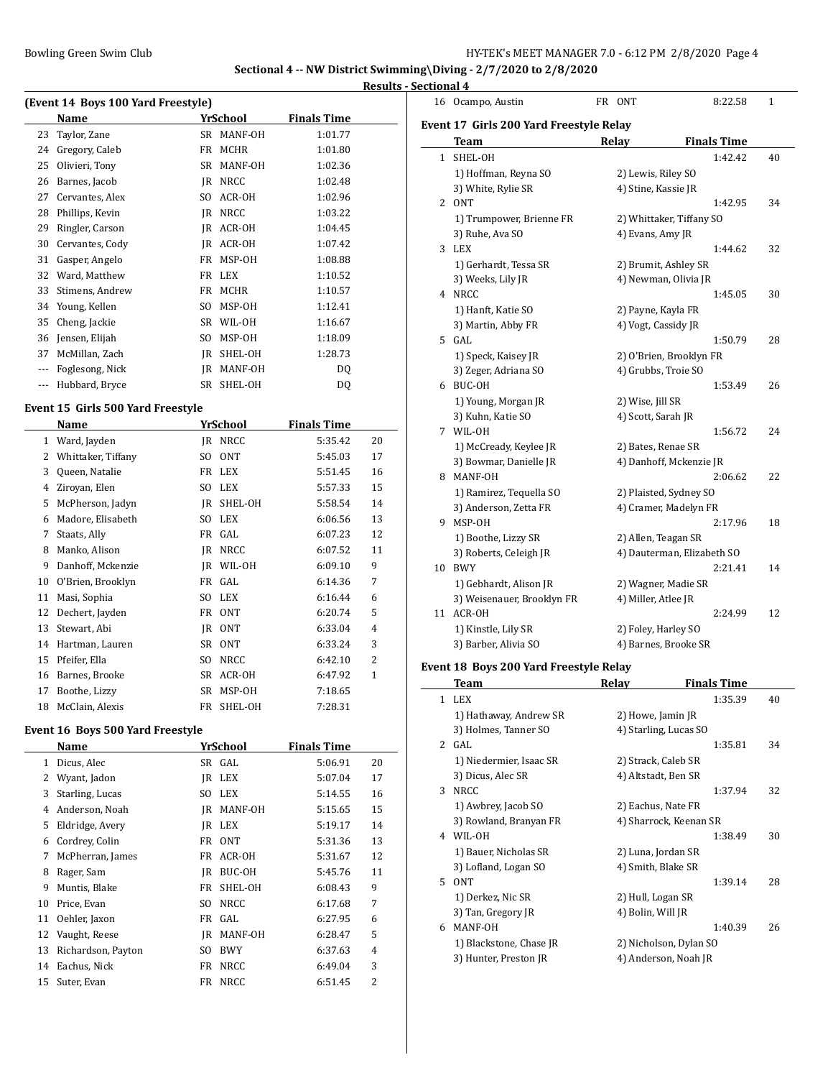#### **Results - Sectional 4**

|          | (Event 14 Boys 100 Yard Freestyle) |    |             |                    |  |  |  |  |  |
|----------|------------------------------------|----|-------------|--------------------|--|--|--|--|--|
|          | Name                               |    | YrSchool    | <b>Finals Time</b> |  |  |  |  |  |
| 23       | Taylor, Zane                       | SR | MANF-OH     | 1:01.77            |  |  |  |  |  |
| 24       | Gregory, Caleb                     | FR | <b>MCHR</b> | 1:01.80            |  |  |  |  |  |
| 25       | Olivieri, Tony                     | SR | MANF-OH     | 1:02.36            |  |  |  |  |  |
| 26       | Barnes, Jacob                      | IR | NRCC        | 1:02.48            |  |  |  |  |  |
| 27       | Cervantes, Alex                    | SO | ACR-OH      | 1:02.96            |  |  |  |  |  |
| 28       | Phillips, Kevin                    | IR | <b>NRCC</b> | 1:03.22            |  |  |  |  |  |
| 29       | Ringler, Carson                    | IR | ACR-OH      | 1:04.45            |  |  |  |  |  |
| 30       | Cervantes, Cody                    | IR | ACR-OH      | 1:07.42            |  |  |  |  |  |
| 31       | Gasper, Angelo                     | FR | MSP-OH      | 1:08.88            |  |  |  |  |  |
| 32       | Ward, Matthew                      | FR | LEX         | 1:10.52            |  |  |  |  |  |
| 33       | Stimens, Andrew                    | FR | <b>MCHR</b> | 1:10.57            |  |  |  |  |  |
| 34       | Young, Kellen                      | SO | MSP-OH      | 1:12.41            |  |  |  |  |  |
| 35       | Cheng, Jackie                      | SR | WIL-OH      | 1:16.67            |  |  |  |  |  |
| 36       | Jensen, Elijah                     | SO | MSP-OH      | 1:18.09            |  |  |  |  |  |
| 37       | McMillan, Zach                     | IR | SHEL-OH     | 1:28.73            |  |  |  |  |  |
| $\cdots$ | Foglesong, Nick                    | IR | MANF-OH     | DQ                 |  |  |  |  |  |
| $- - -$  | Hubbard, Bryce                     | SR | SHEL-OH     | DQ                 |  |  |  |  |  |

### **Event 15 Girls 500 Yard Freestyle**

|    | Name               |           | YrSchool    | <b>Finals Time</b> |                |
|----|--------------------|-----------|-------------|--------------------|----------------|
| 1  | Ward, Jayden       | IR        | <b>NRCC</b> | 5:35.42            | 20             |
| 2  | Whittaker, Tiffany | SO        | <b>ONT</b>  | 5:45.03            | 17             |
| 3  | Queen, Natalie     |           | FR LEX      | 5:51.45            | 16             |
| 4  | Ziroyan, Elen      | SO        | LEX         | 5:57.33            | 15             |
| 5  | McPherson, Jadyn   | IR        | SHEL-OH     | 5:58.54            | 14             |
| 6  | Madore, Elisabeth  | SO        | <b>LEX</b>  | 6:06.56            | 13             |
| 7  | Staats, Ally       |           | FR GAL      | 6:07.23            | 12             |
| 8  | Manko, Alison      | IR        | <b>NRCC</b> | 6:07.52            | 11             |
| 9  | Danhoff, Mckenzie  | IR        | WIL-OH      | 6:09.10            | 9              |
| 10 | O'Brien, Brooklyn  | FR        | GAL         | 6:14.36            | 7              |
| 11 | Masi, Sophia       | SO        | LEX         | 6:16.44            | 6              |
| 12 | Dechert, Jayden    | FR        | <b>ONT</b>  | 6:20.74            | 5              |
| 13 | Stewart, Abi       | IR        | <b>ONT</b>  | 6:33.04            | $\overline{4}$ |
| 14 | Hartman, Lauren    | SR        | <b>ONT</b>  | 6:33.24            | 3              |
| 15 | Pfeifer, Ella      | SO        | <b>NRCC</b> | 6:42.10            | 2              |
| 16 | Barnes, Brooke     | <b>SR</b> | ACR-OH      | 6:47.92            | $\mathbf{1}$   |
| 17 | Boothe, Lizzy      | SR        | MSP-OH      | 7:18.65            |                |
| 18 | McClain, Alexis    | FR        | SHEL-OH     | 7:28.31            |                |

#### **Event 16 Boys 500 Yard Freestyle**

 $\overline{a}$ 

|    | Name               |    | YrSchool    | <b>Finals Time</b> |                |
|----|--------------------|----|-------------|--------------------|----------------|
| 1  | Dicus, Alec        | SR | GAL         | 5:06.91            | 20             |
| 2  | Wyant, Jadon       | IR | LEX         | 5:07.04            | 17             |
| 3  | Starling, Lucas    | SO | <b>LEX</b>  | 5:14.55            | 16             |
| 4  | Anderson, Noah     | IR | MANF-OH     | 5:15.65            | 15             |
| 5  | Eldridge, Avery    | IR | LEX         | 5:19.17            | 14             |
| 6  | Cordrey, Colin     | FR | <b>ONT</b>  | 5:31.36            | 13             |
| 7  | McPherran, James   | FR | ACR-OH      | 5:31.67            | 12             |
| 8  | Rager, Sam         | IR | BUC-OH      | 5:45.76            | 11             |
| 9  | Muntis, Blake      | FR | SHEL-OH     | 6:08.43            | 9              |
| 10 | Price, Evan        | SO | <b>NRCC</b> | 6:17.68            | 7              |
| 11 | Oehler, Jaxon      | FR | GAL         | 6:27.95            | 6              |
| 12 | Vaught, Reese      | IR | MANF-OH     | 6:28.47            | 5              |
| 13 | Richardson, Payton | SO | <b>BWY</b>  | 6:37.63            | 4              |
| 14 | Eachus, Nick       | FR | <b>NRCC</b> | 6:49.04            | 3              |
| 15 | Suter, Evan        | FR | NRCC        | 6:51.45            | $\overline{2}$ |

|    | 16 Ocampo, Austin                                 |  | FR ONT                     | 8:22.58 | 1  |  |  |  |  |  |
|----|---------------------------------------------------|--|----------------------------|---------|----|--|--|--|--|--|
|    | Event 17 Girls 200 Yard Freestyle Relay           |  |                            |         |    |  |  |  |  |  |
|    | <b>Finals Time</b><br><b>Team</b><br><b>Relay</b> |  |                            |         |    |  |  |  |  |  |
|    | 1 SHEL-OH                                         |  |                            | 1:42.42 | 40 |  |  |  |  |  |
|    | 1) Hoffman, Reyna SO                              |  | 2) Lewis, Riley SO         |         |    |  |  |  |  |  |
|    | 3) White, Rylie SR                                |  | 4) Stine, Kassie JR        |         |    |  |  |  |  |  |
|    | 2 ONT                                             |  |                            | 1:42.95 | 34 |  |  |  |  |  |
|    | 1) Trumpower, Brienne FR                          |  | 2) Whittaker, Tiffany SO   |         |    |  |  |  |  |  |
|    | 3) Ruhe, Ava SO                                   |  | 4) Evans, Amy JR           |         |    |  |  |  |  |  |
|    | 3 LEX                                             |  |                            | 1:44.62 | 32 |  |  |  |  |  |
|    | 1) Gerhardt, Tessa SR                             |  | 2) Brumit, Ashley SR       |         |    |  |  |  |  |  |
|    | 3) Weeks, Lily JR                                 |  | 4) Newman, Olivia JR       |         |    |  |  |  |  |  |
|    | 4 NRCC                                            |  |                            | 1:45.05 | 30 |  |  |  |  |  |
|    | 1) Hanft, Katie SO                                |  | 2) Payne, Kayla FR         |         |    |  |  |  |  |  |
|    | 3) Martin, Abby FR                                |  | 4) Vogt, Cassidy JR        |         |    |  |  |  |  |  |
|    | 5 GAL                                             |  |                            | 1:50.79 | 28 |  |  |  |  |  |
|    | 1) Speck, Kaisey JR                               |  | 2) O'Brien, Brooklyn FR    |         |    |  |  |  |  |  |
|    | 3) Zeger, Adriana SO                              |  | 4) Grubbs, Troie SO        |         |    |  |  |  |  |  |
|    | 6 BUC-OH                                          |  |                            | 1:53.49 | 26 |  |  |  |  |  |
|    | 1) Young, Morgan JR                               |  | 2) Wise, Jill SR           |         |    |  |  |  |  |  |
|    | 3) Kuhn, Katie SO                                 |  | 4) Scott, Sarah JR         |         |    |  |  |  |  |  |
|    | 7 WIL-OH                                          |  |                            | 1:56.72 | 24 |  |  |  |  |  |
|    | 1) McCready, Keylee JR                            |  | 2) Bates, Renae SR         |         |    |  |  |  |  |  |
|    | 3) Bowmar, Danielle JR                            |  | 4) Danhoff, Mckenzie JR    |         |    |  |  |  |  |  |
| 8  | MANF-OH                                           |  |                            | 2:06.62 | 22 |  |  |  |  |  |
|    | 1) Ramirez, Tequella SO                           |  | 2) Plaisted, Sydney SO     |         |    |  |  |  |  |  |
|    | 3) Anderson, Zetta FR                             |  | 4) Cramer, Madelyn FR      |         |    |  |  |  |  |  |
| 9  | MSP-OH                                            |  |                            | 2:17.96 | 18 |  |  |  |  |  |
|    | 1) Boothe, Lizzy SR                               |  | 2) Allen, Teagan SR        |         |    |  |  |  |  |  |
|    | 3) Roberts, Celeigh JR                            |  | 4) Dauterman, Elizabeth SO |         |    |  |  |  |  |  |
| 10 | <b>BWY</b>                                        |  |                            | 2:21.41 | 14 |  |  |  |  |  |
|    | 1) Gebhardt, Alison JR                            |  | 2) Wagner, Madie SR        |         |    |  |  |  |  |  |
|    | 3) Weisenauer, Brooklyn FR                        |  | 4) Miller, Atlee JR        |         |    |  |  |  |  |  |
| 11 | ACR-OH                                            |  |                            | 2:24.99 | 12 |  |  |  |  |  |
|    | 1) Kinstle, Lily SR                               |  | 2) Foley, Harley SO        |         |    |  |  |  |  |  |
|    | 3) Barber, Alivia SO                              |  | 4) Barnes, Brooke SR       |         |    |  |  |  |  |  |

## **Event 18 Boys 200 Yard Freestyle Relay**

 $\sim$ 

|    | Team                    | Relay                  | <b>Finals Time</b> |    |
|----|-------------------------|------------------------|--------------------|----|
| 1  | LEX                     |                        | 1:35.39            | 40 |
|    | 1) Hathaway, Andrew SR  | 2) Howe, Jamin JR      |                    |    |
|    | 3) Holmes, Tanner SO    | 4) Starling, Lucas SO  |                    |    |
| 2. | GAL                     |                        | 1:35.81            | 34 |
|    | 1) Niedermier, Isaac SR | 2) Strack, Caleb SR    |                    |    |
|    | 3) Dicus, Alec SR       | 4) Altstadt, Ben SR    |                    |    |
| 3  | <b>NRCC</b>             |                        | 1:37.94            | 32 |
|    | 1) Awbrey, Jacob SO     | 2) Eachus, Nate FR     |                    |    |
|    | 3) Rowland, Branyan FR  | 4) Sharrock, Keenan SR |                    |    |
| 4  | WIL-OH                  |                        | 1:38.49            | 30 |
|    | 1) Bauer, Nicholas SR   | 2) Luna, Jordan SR     |                    |    |
|    | 3) Lofland, Logan SO    | 4) Smith, Blake SR     |                    |    |
| 5. | 0 <sub>N</sub> T        |                        | 1:39.14            | 28 |
|    | 1) Derkez, Nic SR       | 2) Hull, Logan SR      |                    |    |
|    | 3) Tan, Gregory JR      | 4) Bolin, Will JR      |                    |    |
| 6  | MANF-OH                 |                        | 1:40.39            | 26 |
|    | 1) Blackstone, Chase JR | 2) Nicholson, Dylan SO |                    |    |
|    | 3) Hunter, Preston JR   | 4) Anderson, Noah JR   |                    |    |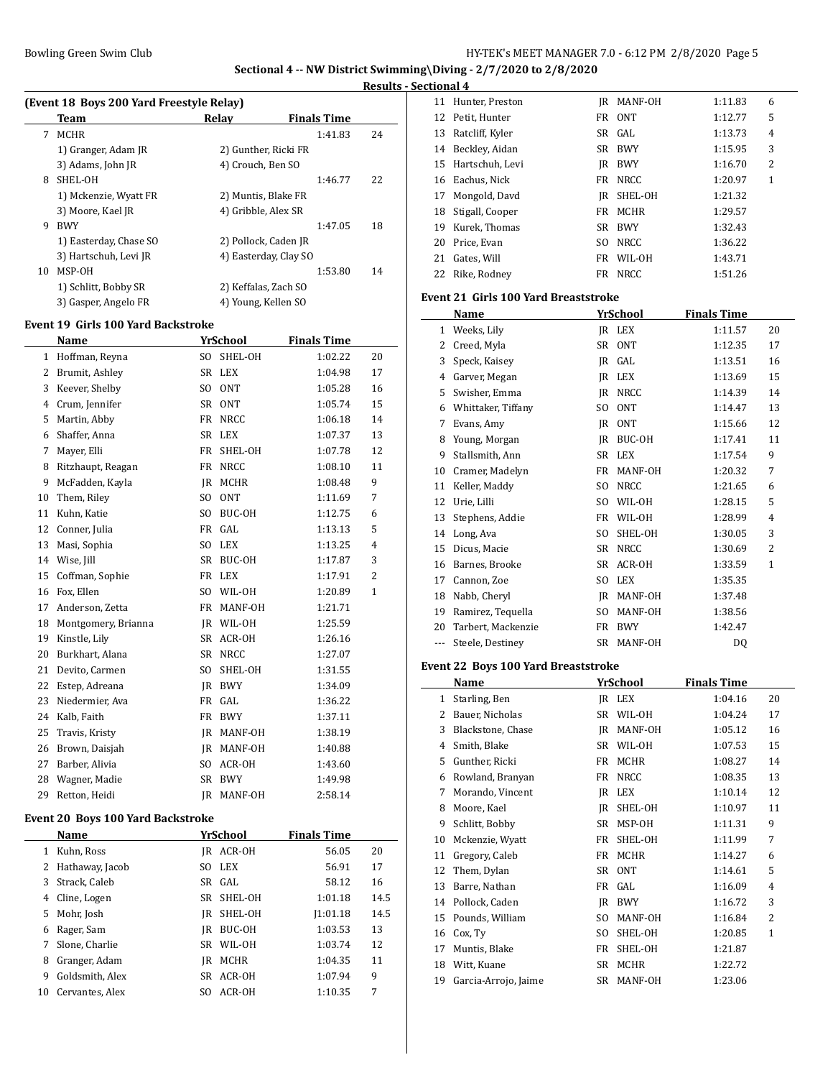# **Results - Sectional 4**

|    | (Event 18 Boys 200 Yard Freestyle Relay) |                       |                    |    |  |  |  |
|----|------------------------------------------|-----------------------|--------------------|----|--|--|--|
|    | Team                                     | Relay                 | <b>Finals Time</b> |    |  |  |  |
| 7  | <b>MCHR</b>                              |                       | 1:41.83            | 24 |  |  |  |
|    | 1) Granger, Adam JR                      | 2) Gunther, Ricki FR  |                    |    |  |  |  |
|    | 3) Adams, John JR                        | 4) Crouch, Ben SO     |                    |    |  |  |  |
| 8  | SHEL-OH                                  |                       | 1:46.77            | 22 |  |  |  |
|    | 1) Mckenzie, Wyatt FR                    | 2) Muntis, Blake FR   |                    |    |  |  |  |
|    | 3) Moore, Kael JR                        | 4) Gribble, Alex SR   |                    |    |  |  |  |
| 9  | <b>BWY</b>                               |                       | 1:47.05            | 18 |  |  |  |
|    | 1) Easterday, Chase SO                   | 2) Pollock, Caden JR  |                    |    |  |  |  |
|    | 3) Hartschuh, Levi JR                    | 4) Easterday, Clay SO |                    |    |  |  |  |
| 10 | MSP-OH                                   |                       | 1:53.80            | 14 |  |  |  |
|    | 1) Schlitt, Bobby SR                     | 2) Keffalas, Zach SO  |                    |    |  |  |  |
|    | 3) Gasper, Angelo FR                     | 4) Young, Kellen SO   |                    |    |  |  |  |
|    |                                          |                       |                    |    |  |  |  |

#### **Event 19 Girls 100 Yard Backstroke**

|                                          | Name                |                | <b>YrSchool</b> | <b>Finals Time</b> |                |  |  |
|------------------------------------------|---------------------|----------------|-----------------|--------------------|----------------|--|--|
| $\mathbf{1}$                             | Hoffman, Reyna      | SO.            | SHEL-OH         | 1:02.22            | 20             |  |  |
| 2                                        | Brumit, Ashley      | SR             | LEX             | 1:04.98            | 17             |  |  |
| 3                                        | Keever, Shelby      | SO.            | <b>ONT</b>      | 1:05.28            | 16             |  |  |
| $\overline{4}$                           | Crum, Jennifer      | SR             | <b>ONT</b>      | 1:05.74            | 15             |  |  |
| 5                                        | Martin, Abby        | FR             | NRCC            | 1:06.18            | 14             |  |  |
| 6                                        | Shaffer, Anna       | SR             | LEX             | 1:07.37            | 13             |  |  |
| 7                                        | Mayer, Elli         | FR             | SHEL-OH         | 1:07.78            | 12             |  |  |
| 8                                        | Ritzhaupt, Reagan   | FR             | <b>NRCC</b>     | 1:08.10            | 11             |  |  |
| 9                                        | McFadden, Kayla     | JR             | MCHR            | 1:08.48            | 9              |  |  |
| 10                                       | Them, Riley         | SO             | <b>ONT</b>      | 1:11.69            | 7              |  |  |
| 11                                       | Kuhn, Katie         | SO.            | BUC-OH          | 1:12.75            | 6              |  |  |
| 12                                       | Conner, Julia       | FR             | GAL             | 1:13.13            | 5              |  |  |
| 13                                       | Masi, Sophia        | SO.            | LEX             | 1:13.25            | 4              |  |  |
| 14                                       | Wise, Jill          | <b>SR</b>      | BUC-OH          | 1:17.87            | 3              |  |  |
| 15                                       | Coffman, Sophie     | <b>FR</b>      | <b>LEX</b>      | 1:17.91            | $\overline{2}$ |  |  |
| 16                                       | Fox, Ellen          | SO.            | WIL-OH          | 1:20.89            | 1              |  |  |
| 17                                       | Anderson, Zetta     | FR             | MANF-OH         | 1:21.71            |                |  |  |
| 18                                       | Montgomery, Brianna | IR             | WIL-OH          | 1:25.59            |                |  |  |
| 19                                       | Kinstle, Lily       | <b>SR</b>      | ACR-OH          | 1:26.16            |                |  |  |
| 20                                       | Burkhart, Alana     | <b>SR</b>      | <b>NRCC</b>     | 1:27.07            |                |  |  |
| 21                                       | Devito, Carmen      | S <sub>O</sub> | SHEL-OH         | 1:31.55            |                |  |  |
| 22                                       | Estep, Adreana      | IR             | <b>BWY</b>      | 1:34.09            |                |  |  |
| 23                                       | Niedermier, Ava     | FR             | GAL             | 1:36.22            |                |  |  |
| 24                                       | Kalb, Faith         | FR             | <b>BWY</b>      | 1:37.11            |                |  |  |
| 25                                       | Travis, Kristy      | IR             | MANF-OH         | 1:38.19            |                |  |  |
| 26                                       | Brown, Daisjah      | IR             | MANF-OH         | 1:40.88            |                |  |  |
| 27                                       | Barber, Alivia      | SO.            | ACR-OH          | 1:43.60            |                |  |  |
| 28                                       | Wagner, Madie       | SR             | <b>BWY</b>      | 1:49.98            |                |  |  |
| 29                                       | Retton, Heidi       | JR             | MANF-OH         | 2:58.14            |                |  |  |
| <b>Event 20 Boys 100 Yard Backstroke</b> |                     |                |                 |                    |                |  |  |

|    | Name            |     | YrSchool | <b>Finals Time</b> |      |
|----|-----------------|-----|----------|--------------------|------|
|    | Kuhn, Ross      | IR  | ACR-OH   | 56.05              | 20   |
|    | Hathaway, Jacob | SO. | LEX      | 56.91              | 17   |
| 3  | Strack, Caleb   |     | SR GAL   | 58.12              | 16   |
| 4  | Cline, Logen    | SR  | SHEL-OH  | 1:01.18            | 14.5 |
| 5. | Mohr, Josh      | IR  | SHEL-OH  | 1:01.18            | 14.5 |
| 6  | Rager, Sam      | IR  | BUC-OH   | 1:03.53            | 13   |
|    | Slone, Charlie  | SR  | WIL-OH   | 1:03.74            | 12   |
| 8  | Granger, Adam   | IR  | MCHR     | 1:04.35            | 11   |
| 9  | Goldsmith, Alex | SR  | ACR-OH   | 1:07.94            | 9    |
| 10 | Cervantes, Alex | SΟ  | ACR-OH   | 1:10.35            | 7    |

| линин т |                  |     |             |         |   |
|---------|------------------|-----|-------------|---------|---|
| 11      | Hunter, Preston  |     | IR MANF-OH  | 1:11.83 | 6 |
|         | 12 Petit, Hunter |     | FR ONT      | 1:12.77 | 5 |
| 13      | Ratcliff, Kyler  |     | SR GAL      | 1:13.73 | 4 |
| 14      | Beckley, Aidan   | SR  | <b>BWY</b>  | 1:15.95 | 3 |
| 15      | Hartschuh, Levi  | IR  | BWY         | 1:16.70 | 2 |
|         | 16 Eachus, Nick  | FR  | NRCC        | 1:20.97 | 1 |
| 17      | Mongold, Davd    | IR  | SHEL-OH     | 1:21.32 |   |
| 18      | Stigall, Cooper  | FR  | MCHR        | 1:29.57 |   |
| 19      | Kurek, Thomas    |     | SR BWY      | 1:32.43 |   |
| 20      | Price, Evan      | SO. | NRCC        | 1:36.22 |   |
| 21      | Gates, Will      | FR  | WIL-OH      | 1:43.71 |   |
| 22      | Rike, Rodney     | FR  | <b>NRCC</b> | 1:51.26 |   |
|         |                  |     |             |         |   |

#### **Event 21 Girls 100 Yard Breaststroke**

|     | Name               |                | YrSchool         | <b>Finals Time</b> |                |
|-----|--------------------|----------------|------------------|--------------------|----------------|
| 1   | Weeks, Lily        | JR             | <b>LEX</b>       | 1:11.57            | 20             |
| 2   | Creed, Myla        | SR             | <b>ONT</b>       | 1:12.35            | 17             |
| 3   | Speck, Kaisey      | JR             | GAL              | 1:13.51            | 16             |
| 4   | Garver, Megan      | IR             | <b>LEX</b>       | 1:13.69            | 15             |
| 5   | Swisher, Emma      | IR             | <b>NRCC</b>      | 1:14.39            | 14             |
| 6   | Whittaker, Tiffany | SO.            | <b>ONT</b>       | 1:14.47            | 13             |
| 7   | Evans, Amy         | IR             | 0 <sub>N</sub> T | 1:15.66            | 12             |
| 8   | Young, Morgan      | JR             | BUC-OH           | 1:17.41            | 11             |
| 9   | Stallsmith, Ann    | <b>SR</b>      | <b>LEX</b>       | 1:17.54            | 9              |
| 10  | Cramer, Madelyn    | FR             | MANF-OH          | 1:20.32            | 7              |
| 11  | Keller, Maddy      | SO.            | <b>NRCC</b>      | 1:21.65            | 6              |
| 12  | Urie, Lilli        | S <sub>O</sub> | WIL-OH           | 1:28.15            | 5              |
| 13  | Stephens, Addie    | FR             | WIL-OH           | 1:28.99            | 4              |
| 14  | Long, Ava          | SO.            | SHEL-OH          | 1:30.05            | 3              |
| 15  | Dicus, Macie       | SR             | <b>NRCC</b>      | 1:30.69            | $\overline{2}$ |
| 16  | Barnes, Brooke     | <b>SR</b>      | ACR-OH           | 1:33.59            | 1              |
| 17  | Cannon, Zoe        | S <sub>O</sub> | <b>LEX</b>       | 1:35.35            |                |
| 18  | Nabb, Cheryl       | JR             | MANF-OH          | 1:37.48            |                |
| 19  | Ramirez, Tequella  | SO.            | MANF-OH          | 1:38.56            |                |
| 20  | Tarbert, Mackenzie | FR             | <b>BWY</b>       | 1:42.47            |                |
| --- | Steele, Destinev   | SR             | MANF-OH          | D <sub>0</sub>     |                |

## **Event 22 Boys 100 Yard Breaststroke**

|    | Name                 |     | YrSchool    | <b>Finals Time</b> |              |
|----|----------------------|-----|-------------|--------------------|--------------|
| 1  | Starling, Ben        |     | IR LEX      | 1:04.16            | 20           |
| 2  | Bauer, Nicholas      | SR  | WIL-OH      | 1:04.24            | 17           |
| 3  | Blackstone, Chase    | IR  | MANF-OH     | 1:05.12            | 16           |
| 4  | Smith, Blake         | SR  | WIL-OH      | 1:07.53            | 15           |
| 5  | Gunther, Ricki       | FR  | <b>MCHR</b> | 1:08.27            | 14           |
| 6  | Rowland, Branyan     | FR  | <b>NRCC</b> | 1:08.35            | 13           |
| 7  | Morando, Vincent     | IR  | <b>LEX</b>  | 1:10.14            | 12           |
| 8  | Moore, Kael          | IR  | SHEL-OH     | 1:10.97            | 11           |
| 9  | Schlitt, Bobby       | SR  | MSP-OH      | 1:11.31            | 9            |
| 10 | Mckenzie, Wyatt      | FR  | SHEL-OH     | 1:11.99            | 7            |
| 11 | Gregory, Caleb       | FR  | <b>MCHR</b> | 1:14.27            | 6            |
| 12 | Them, Dylan          | SR  | <b>ONT</b>  | 1:14.61            | 5            |
| 13 | Barre, Nathan        | FR  | GAL         | 1:16.09            | 4            |
| 14 | Pollock, Caden       | IR  | <b>BWY</b>  | 1:16.72            | 3            |
| 15 | Pounds, William      | SO. | MANF-OH     | 1:16.84            | 2            |
| 16 | Cox, Ty              | SO. | SHEL-OH     | 1:20.85            | $\mathbf{1}$ |
| 17 | Muntis, Blake        | FR  | SHEL-OH     | 1:21.87            |              |
| 18 | Witt, Kuane          | SR  | MCHR        | 1:22.72            |              |
| 19 | Garcia-Arrojo, Jaime | SR  | MANF-OH     | 1:23.06            |              |